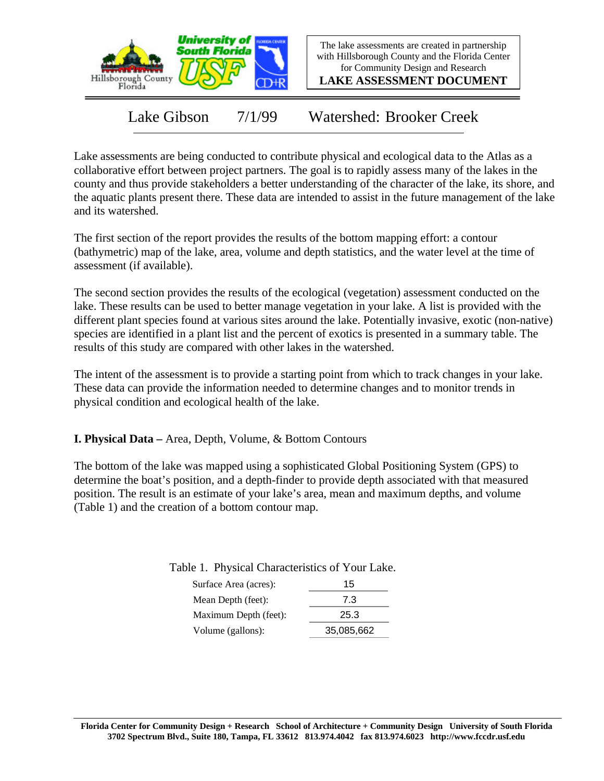

The lake assessments are created in partnership with Hillsborough County and the Florida Center for Community Design and Research

**LAKE ASSESSMENT DOCUMENT**

Lake Gibson 7/1/99 Watershed: Brooker Creek

Lake assessments are being conducted to contribute physical and ecological data to the Atlas as a collaborative effort between project partners. The goal is to rapidly assess many of the lakes in the county and thus provide stakeholders a better understanding of the character of the lake, its shore, and the aquatic plants present there. These data are intended to assist in the future management of the lake and its watershed.

The first section of the report provides the results of the bottom mapping effort: a contour (bathymetric) map of the lake, area, volume and depth statistics, and the water level at the time of assessment (if available).

The second section provides the results of the ecological (vegetation) assessment conducted on the lake. These results can be used to better manage vegetation in your lake. A list is provided with the different plant species found at various sites around the lake. Potentially invasive, exotic (non-native) species are identified in a plant list and the percent of exotics is presented in a summary table. The results of this study are compared with other lakes in the watershed.

The intent of the assessment is to provide a starting point from which to track changes in your lake. These data can provide the information needed to determine changes and to monitor trends in physical condition and ecological health of the lake.

**I. Physical Data –** Area, Depth, Volume, & Bottom Contours

The bottom of the lake was mapped using a sophisticated Global Positioning System (GPS) to determine the boat's position, and a depth-finder to provide depth associated with that measured position. The result is an estimate of your lake's area, mean and maximum depths, and volume (Table 1) and the creation of a bottom contour map.

| Surface Area (acres): | 15         |
|-----------------------|------------|
| Mean Depth (feet):    | 7.3        |
| Maximum Depth (feet): | 25.3       |
| Volume (gallons):     | 35,085,662 |

Table 1. Physical Characteristics of Your Lake.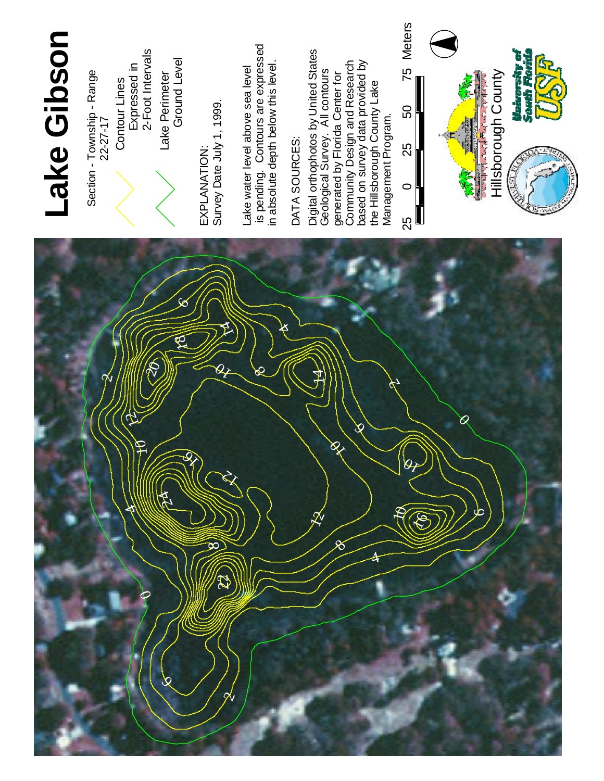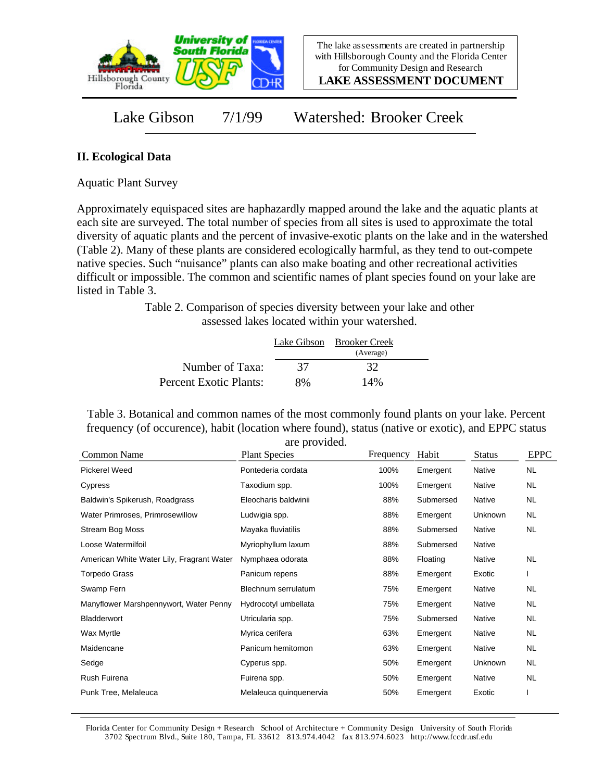

**LAKE ASSESSMENT DOCUMENT**

Lake Gibson 7/1/99 Watershed: Brooker Creek

## **II. Ecological Data**

Aquatic Plant Survey

Approximately equispaced sites are haphazardly mapped around the lake and the aquatic plants at each site are surveyed. The total number of species from all sites is used to approximate the total diversity of aquatic plants and the percent of invasive-exotic plants on the lake and in the watershed (Table 2). Many of these plants are considered ecologically harmful, as they tend to out-compete native species. Such "nuisance" plants can also make boating and other recreational activities difficult or impossible. The common and scientific names of plant species found on your lake are listed in Table 3.

> Table 2. Comparison of species diversity between your lake and other assessed lakes located within your watershed.

|                        |    | Lake Gibson Brooker Creek<br>(Average) |  |
|------------------------|----|----------------------------------------|--|
| Number of Taxa:        | 37 | 32                                     |  |
| Percent Exotic Plants: | 8% | 14%                                    |  |

Table 3. Botanical and common names of the most commonly found plants on your lake. Percent frequency (of occurence), habit (location where found), status (native or exotic), and EPPC status are provided.

| Common Name                               | <b>Plant Species</b>    | Frequency | Habit     | <b>Status</b> | <b>EPPC</b> |
|-------------------------------------------|-------------------------|-----------|-----------|---------------|-------------|
| Pickerel Weed                             | Pontederia cordata      | 100%      | Emergent  | Native        | NL.         |
| Cypress                                   | Taxodium spp.           | 100%      | Emergent  | Native        | NL.         |
| Baldwin's Spikerush, Roadgrass            | Eleocharis baldwinii    | 88%       | Submersed | Native        | NL.         |
| Water Primroses, Primrosewillow           | Ludwigia spp.           | 88%       | Emergent  | Unknown       | NL.         |
| <b>Stream Bog Moss</b>                    | Mayaka fluviatilis      | 88%       | Submersed | Native        | NL.         |
| Loose Watermilfoil                        | Myriophyllum laxum      | 88%       | Submersed | Native        |             |
| American White Water Lily, Fragrant Water | Nymphaea odorata        | 88%       | Floating  | Native        | NL.         |
| <b>Torpedo Grass</b>                      | Panicum repens          | 88%       | Emergent  | Exotic        |             |
| Swamp Fern                                | Blechnum serrulatum     | 75%       | Emergent  | Native        | NL.         |
| Manyflower Marshpennywort, Water Penny    | Hydrocotyl umbellata    | 75%       | Emergent  | Native        | NL.         |
| Bladderwort                               | Utricularia spp.        | 75%       | Submersed | Native        | NL.         |
| Wax Myrtle                                | Myrica cerifera         | 63%       | Emergent  | Native        | NL.         |
| Maidencane                                | Panicum hemitomon       | 63%       | Emergent  | Native        | <b>NL</b>   |
| Sedge                                     | Cyperus spp.            | 50%       | Emergent  | Unknown       | NL.         |
| Rush Fuirena                              | Fuirena spp.            | 50%       | Emergent  | Native        | NL.         |
| Punk Tree, Melaleuca                      | Melaleuca quinquenervia | 50%       | Emergent  | Exotic        |             |

Florida Center for Community Design + Research School of Architecture + Community Design University of South Florida 3702 Spectrum Blvd., Suite 180, Tampa, FL 33612 813.974.4042 fax 813.974.6023 http://www.fccdr.usf.edu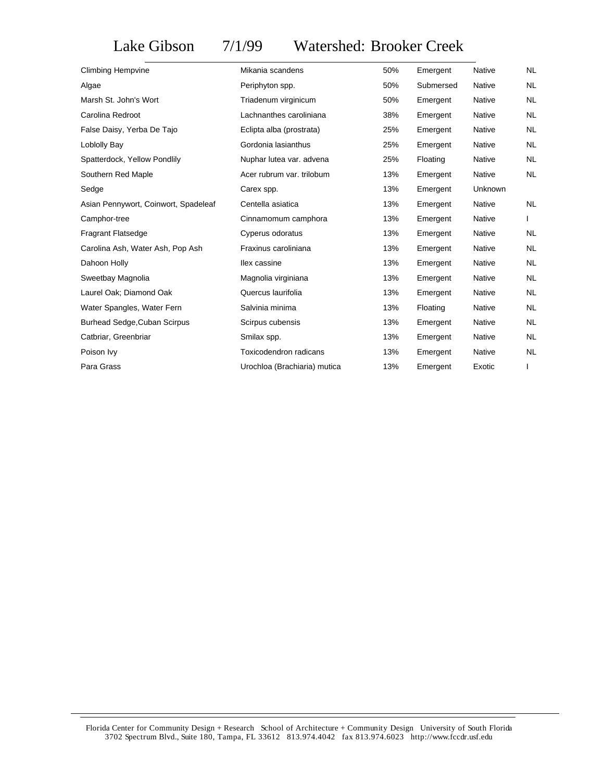## Lake Gibson 7/1/99 Watershed: Brooker Creek

| <b>Climbing Hempvine</b>             | Mikania scandens             | 50% | Emergent  | <b>Native</b> | NL.       |
|--------------------------------------|------------------------------|-----|-----------|---------------|-----------|
| Algae                                | Periphyton spp.              | 50% | Submersed | <b>Native</b> | <b>NL</b> |
| Marsh St. John's Wort                | Triadenum virginicum         | 50% | Emergent  | Native        | NL        |
| Carolina Redroot                     | Lachnanthes caroliniana      | 38% | Emergent  | Native        | <b>NL</b> |
| False Daisy, Yerba De Tajo           | Eclipta alba (prostrata)     | 25% | Emergent  | Native        | NL.       |
| Loblolly Bay                         | Gordonia lasianthus          | 25% | Emergent  | Native        | NL.       |
| Spatterdock, Yellow Pondlily         | Nuphar lutea var. advena     | 25% | Floating  | Native        | NL        |
| Southern Red Maple                   | Acer rubrum var. trilobum    | 13% | Emergent  | Native        | NL.       |
| Sedge                                | Carex spp.                   | 13% | Emergent  | Unknown       |           |
| Asian Pennywort, Coinwort, Spadeleaf | Centella asiatica            | 13% | Emergent  | Native        | <b>NL</b> |
| Camphor-tree                         | Cinnamomum camphora          | 13% | Emergent  | Native        |           |
| <b>Fragrant Flatsedge</b>            | Cyperus odoratus             | 13% | Emergent  | Native        | NL.       |
| Carolina Ash, Water Ash, Pop Ash     | Fraxinus caroliniana         | 13% | Emergent  | Native        | NL.       |
| Dahoon Holly                         | Ilex cassine                 | 13% | Emergent  | <b>Native</b> | <b>NL</b> |
| Sweetbay Magnolia                    | Magnolia virginiana          | 13% | Emergent  | Native        | NL.       |
| Laurel Oak; Diamond Oak              | Quercus laurifolia           | 13% | Emergent  | Native        | NL.       |
| Water Spangles, Water Fern           | Salvinia minima              | 13% | Floating  | Native        | <b>NL</b> |
| <b>Burhead Sedge, Cuban Scirpus</b>  | Scirpus cubensis             | 13% | Emergent  | Native        | NL.       |
| Catbriar, Greenbriar                 | Smilax spp.                  | 13% | Emergent  | Native        | <b>NL</b> |
| Poison Ivy                           | Toxicodendron radicans       | 13% | Emergent  | Native        | NL.       |
| Para Grass                           | Urochloa (Brachiaria) mutica | 13% | Emergent  | Exotic        |           |
|                                      |                              |     |           |               |           |

Florida Center for Community Design + Research School of Architecture + Community Design University of South Florida 3702 Spectrum Blvd., Suite 180, Tampa, FL 33612 813.974.4042 fax 813.974.6023 http://www.fccdr.usf.edu